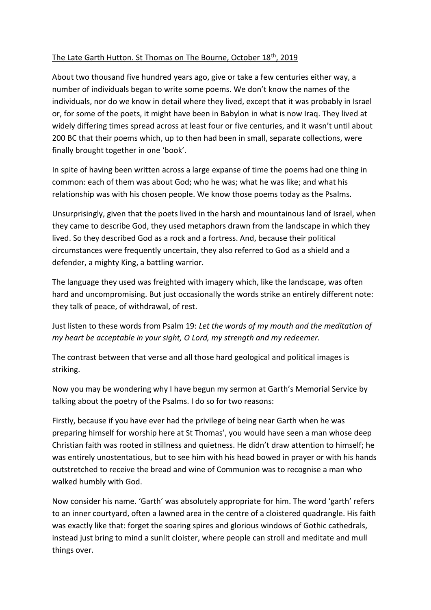## The Late Garth Hutton. St Thomas on The Bourne, October 18th, 2019

About two thousand five hundred years ago, give or take a few centuries either way, a number of individuals began to write some poems. We don't know the names of the individuals, nor do we know in detail where they lived, except that it was probably in Israel or, for some of the poets, it might have been in Babylon in what is now Iraq. They lived at widely differing times spread across at least four or five centuries, and it wasn't until about 200 BC that their poems which, up to then had been in small, separate collections, were finally brought together in one 'book'.

In spite of having been written across a large expanse of time the poems had one thing in common: each of them was about God; who he was; what he was like; and what his relationship was with his chosen people. We know those poems today as the Psalms.

Unsurprisingly, given that the poets lived in the harsh and mountainous land of Israel, when they came to describe God, they used metaphors drawn from the landscape in which they lived. So they described God as a rock and a fortress. And, because their political circumstances were frequently uncertain, they also referred to God as a shield and a defender, a mighty King, a battling warrior.

The language they used was freighted with imagery which, like the landscape, was often hard and uncompromising. But just occasionally the words strike an entirely different note: they talk of peace, of withdrawal, of rest.

Just listen to these words from Psalm 19: *Let the words of my mouth and the meditation of my heart be acceptable in your sight, O Lord, my strength and my redeemer.*

The contrast between that verse and all those hard geological and political images is striking.

Now you may be wondering why I have begun my sermon at Garth's Memorial Service by talking about the poetry of the Psalms. I do so for two reasons:

Firstly, because if you have ever had the privilege of being near Garth when he was preparing himself for worship here at St Thomas', you would have seen a man whose deep Christian faith was rooted in stillness and quietness. He didn't draw attention to himself; he was entirely unostentatious, but to see him with his head bowed in prayer or with his hands outstretched to receive the bread and wine of Communion was to recognise a man who walked humbly with God.

Now consider his name. 'Garth' was absolutely appropriate for him. The word 'garth' refers to an inner courtyard, often a lawned area in the centre of a cloistered quadrangle. His faith was exactly like that: forget the soaring spires and glorious windows of Gothic cathedrals, instead just bring to mind a sunlit cloister, where people can stroll and meditate and mull things over.